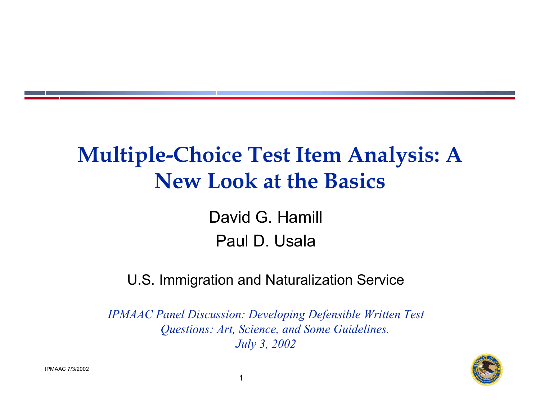### **Multiple-Choice Test Item Analysis: A New Look at the Basics**

David G. Hamill Paul D. Usala

#### U.S. Immigration and Naturalization Service

*IPMAAC Panel Discussion: Developing Defensible Written Test Questions: Art, Science, and Some Guidelines. July 3, 2002*

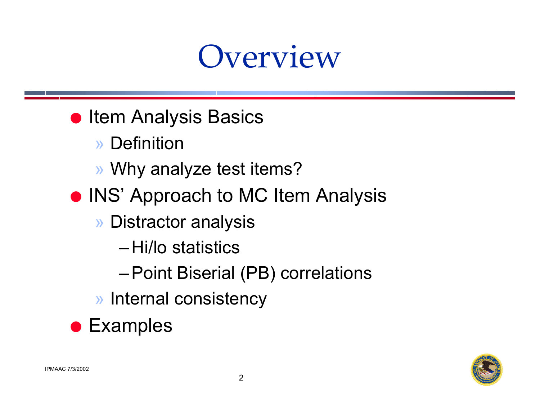## Overview

- **Item Analysis Basics** 
	- » Definition
	- » Why analyze test items?
- **INS' Approach to MC Item Analysis** 
	- » Distractor analysis
		- –Hi/lo statistics
		- –Point Biserial (PB) correlations
	- » Internal consistency

**• Examples**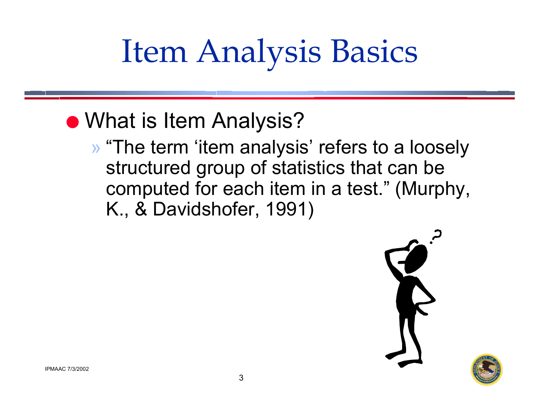# Item Analysis Basics

### **• What is Item Analysis?**

» "The term 'item analysis' refers to a loosely structured group of statistics that can be computed for each item in a test." (Murphy, K., & Davidshofer, 1991)



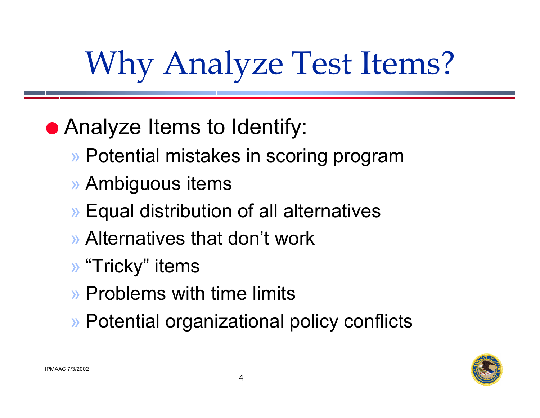# Why Analyze Test Items?

## **• Analyze Items to Identify:**

- » Potential mistakes in scoring program
- » Ambiguous items
- » Equal distribution of all alternatives
- » Alternatives that don't work
- » "Tricky" items
- » Problems with time limits
- » Potential organizational policy conflicts

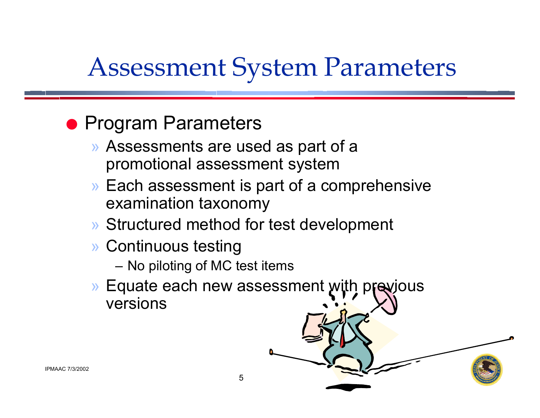## Assessment System Parameters

### **• Program Parameters**

- » Assessments are used as part of a promotional assessment system
- » Each assessment is part of a comprehensive examination taxonomy
- » Structured method for test development
- » Continuous testing
	- No piloting of MC test items
- » Equate each new assessment with previous versions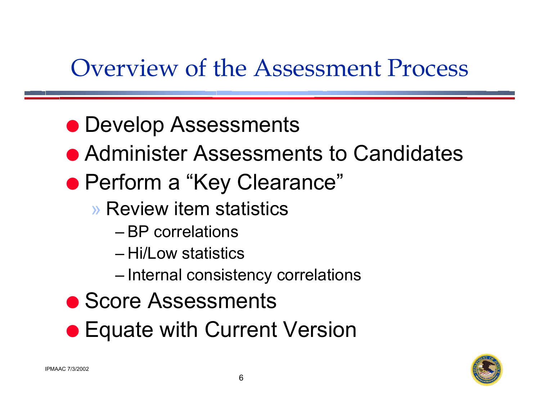## Overview of the Assessment Process

- **Develop Assessments**
- **Administer Assessments to Candidates**
- Perform a "Key Clearance"
	- » Review item statistics
		- BP correlations
		- Hi/Low statistics
		- Internal consistency correlations
- **Score Assessments**
- **Equate with Current Version**

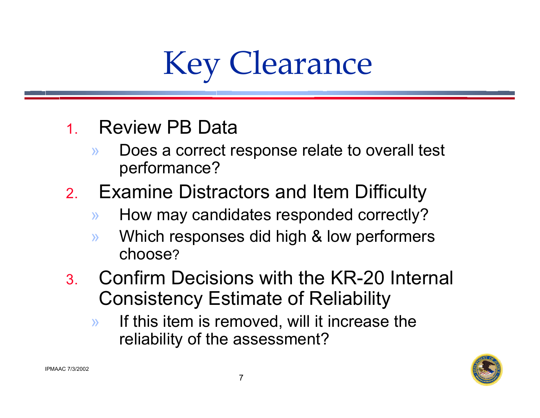

- 1. Review PB Data
	- » Does a correct response relate to overall test performance?
- 2. Examine Distractors and Item Difficulty
	- »How may candidates responded correctly?
	- » Which responses did high & low performers choose?
- 3. Confirm Decisions with the KR-20 Internal Consistency Estimate of Reliability
	- » If this item is removed, will it increase the reliability of the assessment?

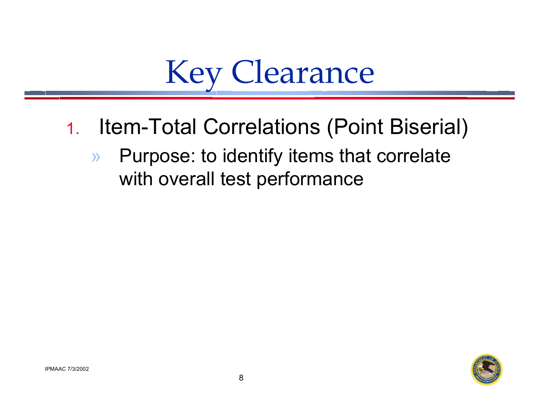Key Clearance

- 1. Item-Total Correlations (Point Biserial)
	- » Purpose: to identify items that correlate with overall test performance

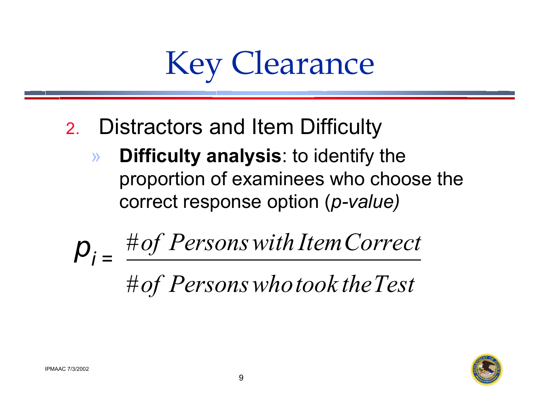

- 2. Distractors and Item Difficulty
	- » **Difficulty analysis**: to identify the proportion of examinees who choose the correct response option (*p-value)*

# *of Personswhotook theTest* # *of Personswith ItemCorrect <sup>p</sup>* # *i =*

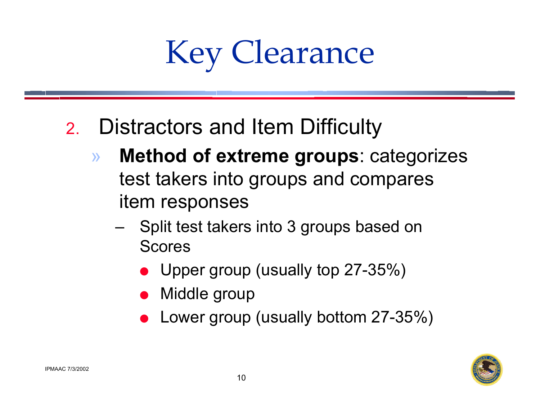Key Clearance

- 2. Distractors and Item Difficulty
	- » **Method of extreme groups**: categorizes test takers into groups and compares item responses
		- Split test takers into 3 groups based on **Scores** 
			- Upper group (usually top 27-35%)
			- Middle group
			- Lower group (usually bottom 27-35%)

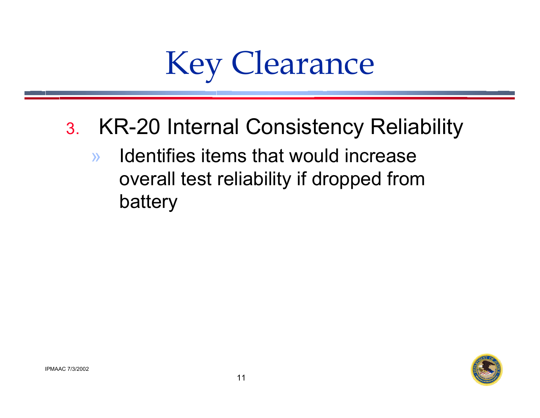

- 3. KR-20 Internal Consistency Reliability
	- » Identifies items that would increase overall test reliability if dropped from battery

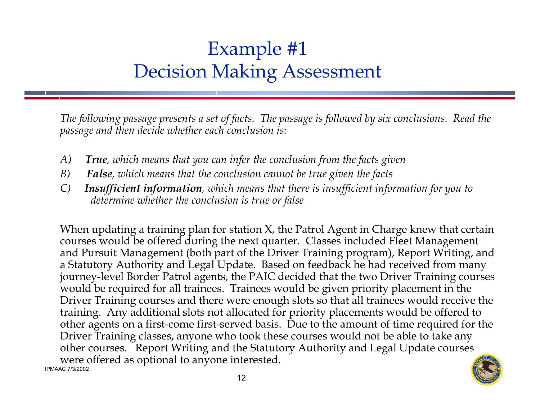### Example #1 Decision Making Assessment

*The following passage presents a set of facts. The passage is followed by six conclusions. Read the passage and then decide whether each conclusion is:*

- *A) True, which means that you can infer the conclusion from the facts given*
- *B) False, which means that the conclusion cannot be true given the facts*
- *C) Insufficient information, which means that there is insufficient information for you to determine whether the conclusion is true or false*

IPMAAC 7/3/2002When updating a training plan for station X, the Patrol Agent in Charge knew that certain courses would be offered during the next quarter. Classes included Fleet Management and Pursuit Management (both part of the Driver Training program), Report Writing, and a Statutory Authority and Legal Update. Based on feedback he had received from many journey-level Border Patrol agents, the PAIC decided that the two Driver Training courses would be required for all trainees. Trainees would be given priority placement in the Driver Training courses and there were enough slots so that all trainees would receive the training. Any additional slots not allocated for priority placements would be offered to other agents on a first-come first-served basis. Due to the amount of time required for the Driver Training classes, anyone who took these courses would not be able to take any other courses. Report Writing and the Statutory Authority and Legal Update courses were offered as optional to anyone interested.

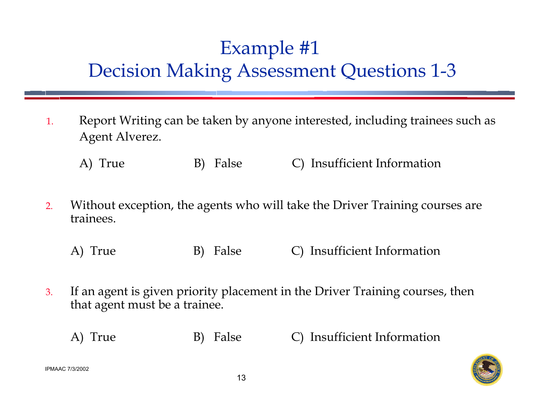### Example #1 Decision Making Assessment Questions 1-3

- 1. Report Writing can be taken by anyone interested, including trainees such as Agent Alverez.
	- A) True B) False C) Insufficient Information
- 2. Without exception, the agents who will take the Driver Training courses are trainees.
	- A) True B) False C) Insufficient Information
- 3. If an agent is given priority placement in the Driver Training courses, then that agent must be a trainee.
	- A) True B) False C) Insufficient Information

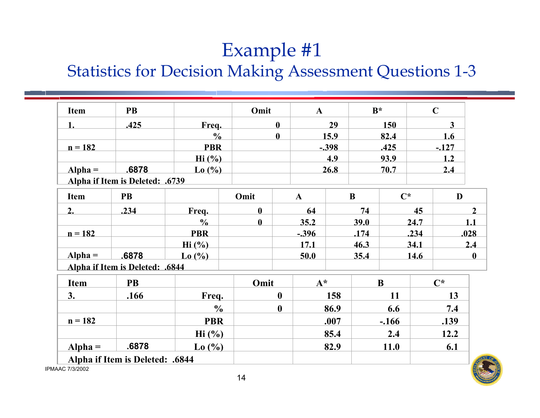#### Example #1

#### Statistics for Decision Making Assessment Questions 1-3

| <b>Item</b>            | <b>PB</b>                       |                         | Omit         |              | $\mathbf{A}$ |          | $B^*$ |                | $\mathbf C$ |                |      |
|------------------------|---------------------------------|-------------------------|--------------|--------------|--------------|----------|-------|----------------|-------------|----------------|------|
| 1.                     | .425                            | Freq.                   |              | $\mathbf{0}$ | 29           |          | 150   |                | 3           |                |      |
|                        |                                 | $\frac{0}{0}$           |              | $\mathbf{0}$ |              | 15.9     |       | 82.4           |             | 1.6            |      |
| $n = 182$              |                                 | <b>PBR</b>              |              |              | $-.398$      |          |       | .425           |             | $-127$         |      |
|                        |                                 | $\mathrm{Hi}$ (%)       |              |              |              | 4.9      |       | 93.9           |             | 1.2            |      |
| $Alpha =$              | .6878                           | $\text{Lo}(\% )$        |              |              | 26.8         |          | 70.7  |                | 2.4         |                |      |
|                        | Alpha if Item is Deleted: .6739 |                         |              |              |              |          |       |                |             |                |      |
| <b>Item</b>            | <b>PB</b>                       |                         | Omit         | $\mathbf{A}$ |              | $\bf{B}$ |       | $\mathbf{C}^*$ |             | D              |      |
| 2.                     | .234                            | Freq.                   | $\mathbf{0}$ |              | 64           |          | 74    |                | 45          |                |      |
|                        |                                 | $\frac{0}{0}$           | $\mathbf{0}$ |              | 35.2         |          | 39.0  |                | 24.7        |                | 11   |
| $n = 182$              |                                 | <b>PBR</b>              |              |              | $-.396$      |          | .174  |                | .234        |                | .028 |
|                        |                                 | $\mathrm{Hi}$ (%)       |              |              | 17.1         |          | 46.3  |                | 34.1        |                | 2.4  |
| $Alpha =$              | .6878                           | $\text{Lo}(\% )$        |              |              | 50.0<br>35.4 |          |       | 14.6           |             |                |      |
|                        | Alpha if Item is Deleted: .6844 |                         |              |              |              |          |       |                |             |                |      |
| Item                   | <b>PB</b>                       |                         | Omit         |              | $A^*$        |          |       | B              |             | $\mathbf{C}^*$ |      |
| 3.                     | .166                            | Freq.                   |              | $\mathbf{0}$ |              | 158      | 11    |                |             | 13             |      |
|                        |                                 | $\frac{0}{0}$           |              | $\mathbf{0}$ |              | 86.9     |       | 6.6            |             | 7.4            |      |
| $n = 182$              |                                 | <b>PBR</b>              |              |              |              | .007     |       | $-.166$        |             | .139           |      |
|                        |                                 | $\operatorname{Hi}$ (%) |              |              |              | 85.4     |       | 2.4            |             | 12.2           |      |
| $Alpha =$              | .6878                           | $\text{Lo}(%$           |              |              |              | 82.9     |       | <b>11.0</b>    |             | 6.1            |      |
| <b>IPMAAC 7/3/2002</b> | Alpha if Item is Deleted: .6844 |                         |              |              |              |          |       |                |             |                |      |

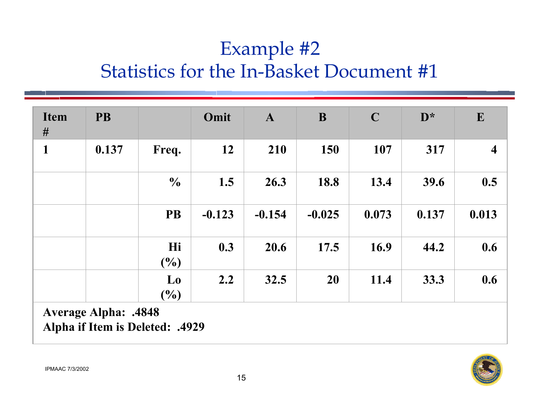### Example #2 Statistics for the In-Basket Document #1

| <b>Item</b><br># | <b>PB</b> |                      | Omit     | $\mathbf{A}$ | B        | $\mathbf C$ | $\mathbf{D}^*$ | $\mathbf{E}$            |
|------------------|-----------|----------------------|----------|--------------|----------|-------------|----------------|-------------------------|
| $\mathbf{1}$     | 0.137     | Freq.                | 12       | 210          | 150      | 107         | 317            | $\overline{\mathbf{4}}$ |
|                  |           | $\frac{0}{0}$        | 1.5      | 26.3         | 18.8     | 13.4        | 39.6           | 0.5                     |
|                  |           | <b>PB</b>            | $-0.123$ | $-0.154$     | $-0.025$ | 0.073       | 0.137          | 0.013                   |
|                  |           | Hi<br>$\binom{0}{0}$ | 0.3      | 20.6         | 17.5     | 16.9        | 44.2           | 0.6                     |
|                  |           | Lo<br>$\binom{0}{0}$ | 2.2      | 32.5         | 20       | 11.4        | 33.3           | 0.6                     |

**Average Alpha: .4848 Alpha if Item is Deleted: .4929**

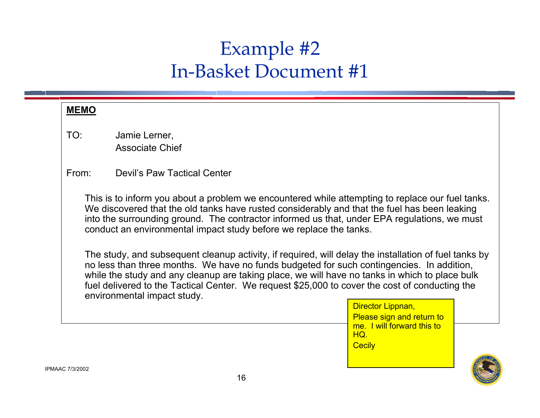#### Example #2 In-Basket Document #1

| <b>MEMO</b> |                                                                                                                                                                                                                                                                                                                                                                                                                                                                                                                                                                                                                                                                                                                                                                                  |                                                    |  |  |  |  |  |  |
|-------------|----------------------------------------------------------------------------------------------------------------------------------------------------------------------------------------------------------------------------------------------------------------------------------------------------------------------------------------------------------------------------------------------------------------------------------------------------------------------------------------------------------------------------------------------------------------------------------------------------------------------------------------------------------------------------------------------------------------------------------------------------------------------------------|----------------------------------------------------|--|--|--|--|--|--|
| TO:         | Jamie Lerner,<br><b>Associate Chief</b>                                                                                                                                                                                                                                                                                                                                                                                                                                                                                                                                                                                                                                                                                                                                          |                                                    |  |  |  |  |  |  |
| From:       | <b>Devil's Paw Tactical Center</b>                                                                                                                                                                                                                                                                                                                                                                                                                                                                                                                                                                                                                                                                                                                                               |                                                    |  |  |  |  |  |  |
|             | This is to inform you about a problem we encountered while attempting to replace our fuel tanks.<br>We discovered that the old tanks have rusted considerably and that the fuel has been leaking<br>into the surrounding ground. The contractor informed us that, under EPA regulations, we must<br>conduct an environmental impact study before we replace the tanks.<br>The study, and subsequent cleanup activity, if required, will delay the installation of fuel tanks by<br>no less than three months. We have no funds budgeted for such contingencies. In addition,<br>while the study and any cleanup are taking place, we will have no tanks in which to place bulk<br>fuel delivered to the Tactical Center. We request \$25,000 to cover the cost of conducting the |                                                    |  |  |  |  |  |  |
|             | environmental impact study.                                                                                                                                                                                                                                                                                                                                                                                                                                                                                                                                                                                                                                                                                                                                                      | Director Lippnan,<br>Please sign and return to     |  |  |  |  |  |  |
|             |                                                                                                                                                                                                                                                                                                                                                                                                                                                                                                                                                                                                                                                                                                                                                                                  | me. I will forward this to<br>HO.<br><b>Cecily</b> |  |  |  |  |  |  |

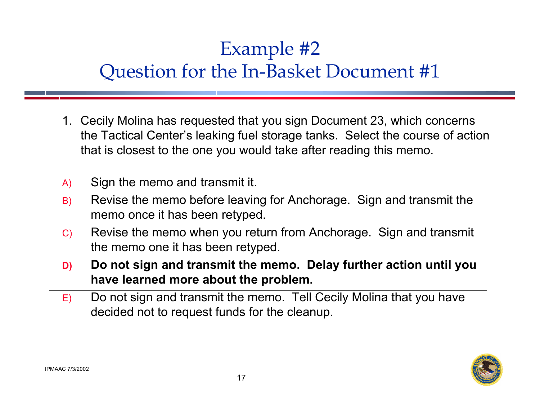### Example #2 Question for the In-Basket Document #1

- 1. Cecily Molina has requested that you sign Document 23, which concerns the Tactical Center's leaking fuel storage tanks. Select the course of action that is closest to the one you would take after reading this memo.
- A) Sign the memo and transmit it.
- B) Revise the memo before leaving for Anchorage. Sign and transmit the memo once it has been retyped.
- C) Revise the memo when you return from Anchorage. Sign and transmit the memo one it has been retyped.
- **D) Do not sign and transmit the memo. Delay further action until you have learned more about the problem.**
- E) Do not sign and transmit the memo. Tell Cecily Molina that you have decided not to request funds for the cleanup.

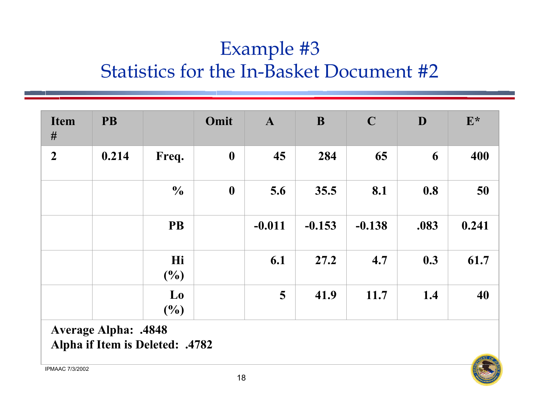### Example #3 Statistics for the In-Basket Document #2

| <b>Item</b><br># | <b>PB</b> |                                          | Omit             | $\mathbf{A}$ | B        | $\mathbf C$ | D    | $E^*$ |
|------------------|-----------|------------------------------------------|------------------|--------------|----------|-------------|------|-------|
| $\boldsymbol{2}$ | 0.214     | Freq.                                    | $\boldsymbol{0}$ | 45           | 284      | 65          | 6    | 400   |
|                  |           | $\frac{0}{0}$                            | $\boldsymbol{0}$ | 5.6          | 35.5     | 8.1         | 0.8  | 50    |
|                  |           | <b>PB</b>                                |                  | $-0.011$     | $-0.153$ | $-0.138$    | .083 | 0.241 |
|                  |           | Hi<br>$(\%)$                             |                  | 6.1          | 27.2     | 4.7         | 0.3  | 61.7  |
|                  |           | $\mathbf{L}\mathbf{0}$<br>$\binom{0}{0}$ |                  | 5            | 41.9     | 11.7        | 1.4  | 40    |

**Average Alpha: .4848 Alpha if Item is Deleted: .4782**